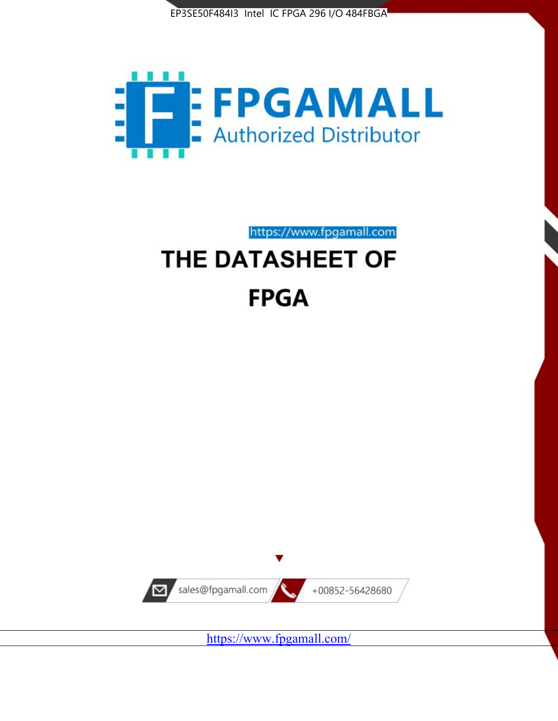



https://www.fpgamall.com

# THE DATASHEET OF **FPGA**



<https://www.fpgamall.com/>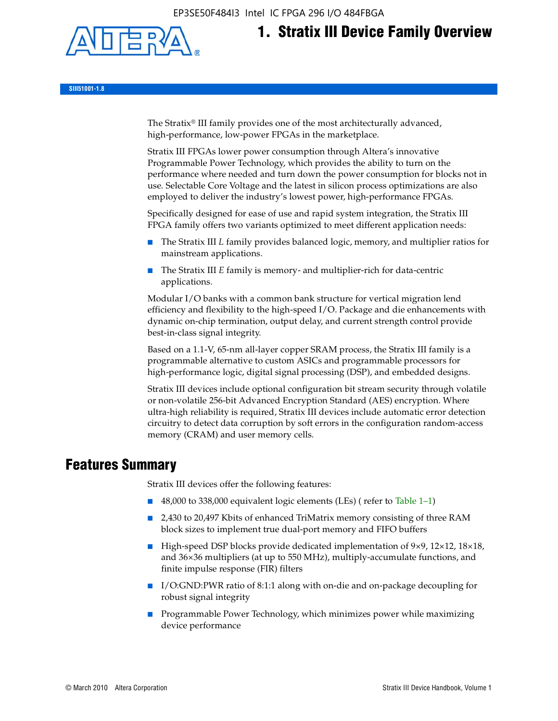EP3SE50F484I3 Intel IC FPGA 296 I/O 484FBGA



# **1. Stratix III Device Family Overview**

**SIII51001-1.8**

The Stratix® III family provides one of the most architecturally advanced, high-performance, low-power FPGAs in the marketplace.

Stratix III FPGAs lower power consumption through Altera's innovative Programmable Power Technology, which provides the ability to turn on the performance where needed and turn down the power consumption for blocks not in use. Selectable Core Voltage and the latest in silicon process optimizations are also employed to deliver the industry's lowest power, high-performance FPGAs.

Specifically designed for ease of use and rapid system integration, the Stratix III FPGA family offers two variants optimized to meet different application needs:

- The Stratix III *L* family provides balanced logic, memory, and multiplier ratios for mainstream applications.
- The Stratix III *E* family is memory- and multiplier-rich for data-centric applications.

Modular I/O banks with a common bank structure for vertical migration lend efficiency and flexibility to the high-speed I/O. Package and die enhancements with dynamic on-chip termination, output delay, and current strength control provide best-in-class signal integrity.

Based on a 1.1-V, 65-nm all-layer copper SRAM process, the Stratix III family is a programmable alternative to custom ASICs and programmable processors for high-performance logic, digital signal processing (DSP), and embedded designs.

Stratix III devices include optional configuration bit stream security through volatile or non-volatile 256-bit Advanced Encryption Standard (AES) encryption. Where ultra-high reliability is required, Stratix III devices include automatic error detection circuitry to detect data corruption by soft errors in the configuration random-access memory (CRAM) and user memory cells.

## **Features Summary**

Stratix III devices offer the following features:

- 48,000 to 338,000 equivalent logic elements (LEs) (refer to Table 1–1)
- 2,430 to 20,497 Kbits of enhanced TriMatrix memory consisting of three RAM block sizes to implement true dual-port memory and FIFO buffers
- High-speed DSP blocks provide dedicated implementation of 9×9, 12×12, 18×18, and 36×36 multipliers (at up to 550 MHz), multiply-accumulate functions, and finite impulse response (FIR) filters
- I/O:GND:PWR ratio of 8:1:1 along with on-die and on-package decoupling for robust signal integrity
- Programmable Power Technology, which minimizes power while maximizing device performance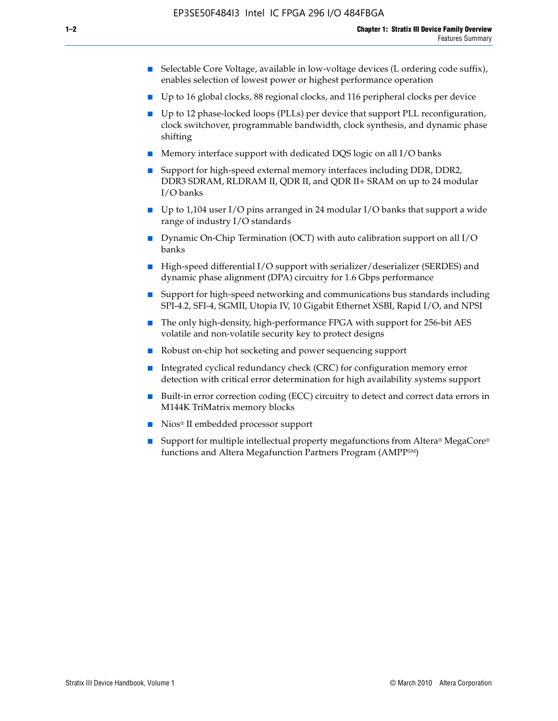- Selectable Core Voltage, available in low-voltage devices (L ordering code suffix), enables selection of lowest power or highest performance operation
- Up to 16 global clocks, 88 regional clocks, and 116 peripheral clocks per device
- Up to 12 phase-locked loops (PLLs) per device that support PLL reconfiguration, clock switchover, programmable bandwidth, clock synthesis, and dynamic phase shifting
- Memory interface support with dedicated DQS logic on all I/O banks
- Support for high-speed external memory interfaces including DDR, DDR2, DDR3 SDRAM, RLDRAM II, QDR II, and QDR II+ SRAM on up to 24 modular I/O banks
- Up to 1,104 user I/O pins arranged in 24 modular I/O banks that support a wide range of industry I/O standards
- Dynamic On-Chip Termination (OCT) with auto calibration support on all  $I/O$ banks
- High-speed differential I/O support with serializer/deserializer (SERDES) and dynamic phase alignment (DPA) circuitry for 1.6 Gbps performance
- Support for high-speed networking and communications bus standards including SPI-4.2, SFI-4, SGMII, Utopia IV, 10 Gigabit Ethernet XSBI, Rapid I/O, and NPSI
- The only high-density, high-performance FPGA with support for 256-bit AES volatile and non-volatile security key to protect designs
- Robust on-chip hot socketing and power sequencing support
- Integrated cyclical redundancy check (CRC) for configuration memory error detection with critical error determination for high availability systems support
- Built-in error correction coding (ECC) circuitry to detect and correct data errors in M144K TriMatrix memory blocks
- Nios<sup>®</sup> II embedded processor support
- Support for multiple intellectual property megafunctions from Altera® MegaCore® functions and Altera Megafunction Partners Program (AMPPSM)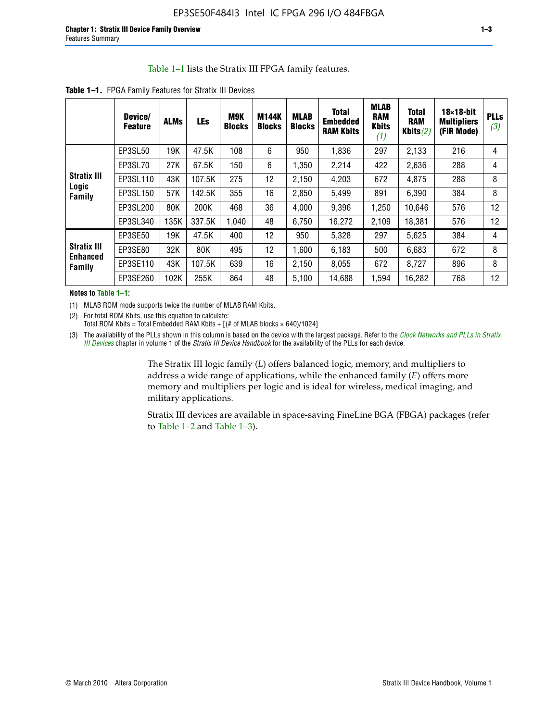#### Table 1–1 lists the Stratix III FPGA family features.

|                                                 | Device/<br><b>Feature</b> | <b>ALMs</b> | LEs    | M9K<br><b>Blocks</b> | <b>M144K</b><br><b>Blocks</b> | <b>MLAB</b><br><b>Blocks</b> | <b>Total</b><br><b>Embedded</b><br><b>RAM Kbits</b> | <b>MLAB</b><br><b>RAM</b><br><b>Kbits</b><br>(1) | <b>Total</b><br><b>RAM</b><br>Kbits $(2)$ | $18\times18$ -bit<br><b>Multipliers</b><br>(FIR Mode) | <b>PLLs</b><br>(3) |
|-------------------------------------------------|---------------------------|-------------|--------|----------------------|-------------------------------|------------------------------|-----------------------------------------------------|--------------------------------------------------|-------------------------------------------|-------------------------------------------------------|--------------------|
|                                                 | EP3SL50                   | 19K         | 47.5K  | 108                  | 6                             | 950                          | 1,836                                               | 297                                              | 2,133                                     | 216                                                   | 4                  |
|                                                 | EP3SL70                   | 27K         | 67.5K  | 150                  | 6                             | 1.350                        | 2,214                                               | 422                                              | 2,636                                     | 288                                                   | 4                  |
| <b>Stratix III</b>                              | EP3SL110                  | 43K         | 107.5K | 275                  | 12                            | 2,150                        | 4,203                                               | 672                                              | 4,875                                     | 288                                                   | 8                  |
| Logic<br><b>Family</b>                          | EP3SL150                  | 57K         | 142.5K | 355                  | 16                            | 2,850                        | 5,499                                               | 891                                              | 6,390                                     | 384                                                   | 8                  |
|                                                 | EP3SL200                  | 80K         | 200K   | 468                  | 36                            | 4,000                        | 9,396                                               | 1,250                                            | 10,646                                    | 576                                                   | 12                 |
|                                                 | EP3SL340                  | 135K        | 337.5K | 1.040                | 48                            | 6,750                        | 16,272                                              | 2,109                                            | 18,381                                    | 576                                                   | 12                 |
|                                                 | EP3SE50                   | 19K         | 47.5K  | 400                  | 12                            | 950                          | 5,328                                               | 297                                              | 5,625                                     | 384                                                   | 4                  |
| <b>Stratix III</b><br><b>Enhanced</b><br>Family | EP3SE80                   | 32K         | 80K    | 495                  | 12                            | 1,600                        | 6,183                                               | 500                                              | 6,683                                     | 672                                                   | 8                  |
|                                                 | EP3SE110                  | 43K         | 107.5K | 639                  | 16                            | 2,150                        | 8,055                                               | 672                                              | 8,727                                     | 896                                                   | 8                  |
|                                                 | EP3SE260                  | 102K        | 255K   | 864                  | 48                            | 5,100                        | 14,688                                              | 1,594                                            | 16,282                                    | 768                                                   | 12                 |

**Table 1–1.** FPGA Family Features for Stratix III Devices

**Notes to Table 1–1:**

(1) MLAB ROM mode supports twice the number of MLAB RAM Kbits.

(2) For total ROM Kbits, use this equation to calculate: Total ROM Kbits = Total Embedded RAM Kbits +  $[(# of MLAB blocks × 640)/1024]$ 

(3) The availability of the PLLs shown in this column is based on the device with the largest package. Refer to the *[Clock Networks and PLLs in Stratix](http://www.altera.com/literature/hb/stx3/stx3_siii51006.pdf)  [III Devices](http://www.altera.com/literature/hb/stx3/stx3_siii51006.pdf)* chapter in volume 1 of the *Stratix III Device Handbook* for the availability of the PLLs for each device.

> The Stratix III logic family (*L*) offers balanced logic, memory, and multipliers to address a wide range of applications, while the enhanced family (*E*) offers more memory and multipliers per logic and is ideal for wireless, medical imaging, and military applications.

Stratix III devices are available in space-saving FineLine BGA (FBGA) packages (refer to Table 1–2 and Table 1–3).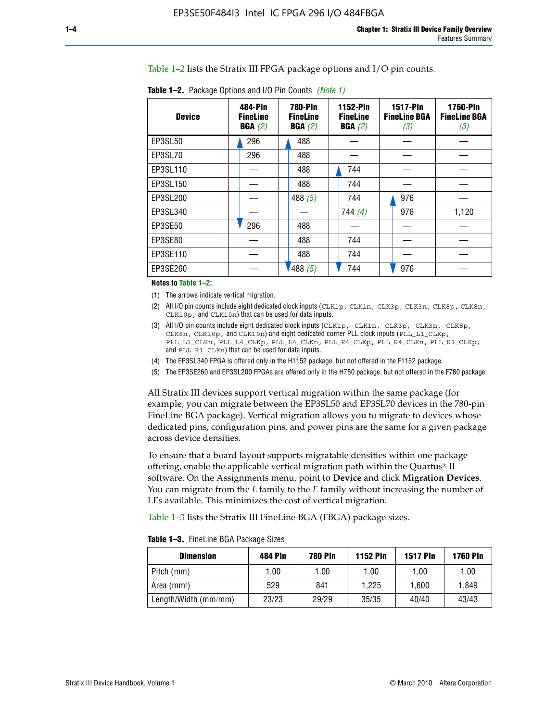Table 1–2 lists the Stratix III FPGA package options and I/O pin counts.

| <b>Device</b>  | 484-Pin<br><b>FineLine</b><br>BGA(2) | <b>780-Pin</b><br><b>FineLine</b><br>BGA(2) | 1152-Pin<br><b>FineLine</b><br>BGA(2) | <b>1517-Pin</b><br><b>FineLine BGA</b><br>(3) | <b>1760-Pin</b><br><b>FineLine BGA</b><br>(3) |
|----------------|--------------------------------------|---------------------------------------------|---------------------------------------|-----------------------------------------------|-----------------------------------------------|
| EP3SL50        | 296                                  | 488                                         |                                       |                                               |                                               |
| EP3SL70        | 296                                  | 488                                         |                                       |                                               |                                               |
| EP3SL110       |                                      | 488                                         | 744                                   |                                               |                                               |
| EP3SL150       |                                      | 488                                         | 744                                   |                                               |                                               |
| EP3SL200       |                                      | 488 $(5)$                                   | 744                                   | 976                                           |                                               |
| EP3SL340       |                                      |                                             | 744(4)                                | 976                                           | 1,120                                         |
| <b>EP3SE50</b> | 296                                  | 488                                         |                                       |                                               |                                               |
| EP3SE80        |                                      | 488                                         | 744                                   |                                               |                                               |
| EP3SE110       |                                      | 488                                         | 744                                   |                                               |                                               |
| EP3SE260       |                                      | '488(5)                                     | 744                                   | 976                                           |                                               |

**Table 1–2.** Package Options and I/O Pin Counts *(Note 1)*

**Notes to Table 1–2:**

(1) The arrows indicate vertical migration.

- (2) All I/O pin counts include eight dedicated clock inputs (CLK1p, CLK1n, CLK3p, CLK3n, CLK8p, CLK8n, CLK10p, and CLK10n) that can be used for data inputs.
- (3) All I/O pin counts include eight dedicated clock inputs (CLK1p, CLK1n, CLK3p, CLK3n, CLK8p, CLK8n, CLK10p, and CLK10n) and eight dedicated corner PLL clock inputs (PLL\_L1\_CLKp, PLL\_L1\_CLKn, PLL\_L4\_CLKp, PLL\_L4\_CLKn, PLL\_R4\_CLKp, PLL\_R4\_CLKn, PLL\_R1\_CLKp, and PLL\_R1\_CLKn) that can be used for data inputs.
- (4) The EP3SL340 FPGA is offered only in the H1152 package, but not offered in the F1152 package.
- (5) The EP3SE260 and EP3SL200 FPGAs are offered only in the H780 package, but not offered in the F780 package.

All Stratix III devices support vertical migration within the same package (for example, you can migrate between the EP3SL50 and EP3SL70 devices in the 780-pin FineLine BGA package). Vertical migration allows you to migrate to devices whose dedicated pins, configuration pins, and power pins are the same for a given package across device densities.

To ensure that a board layout supports migratable densities within one package offering, enable the applicable vertical migration path within the Quartus® II software. On the Assignments menu, point to **Device** and click **Migration Devices**. You can migrate from the *L* family to the *E* family without increasing the number of LEs available. This minimizes the cost of vertical migration.

Table 1–3 lists the Stratix III FineLine BGA (FBGA) package sizes.

**Table 1–3.** FineLine BGA Package Sizes

| <b>Dimension</b>     | <b>484 Pin</b> | <b>780 Pin</b> | <b>1152 Pin</b> | <b>1517 Pin</b> | <b>1760 Pin</b> |
|----------------------|----------------|----------------|-----------------|-----------------|-----------------|
| Pitch (mm)           | 1.00           | 1.00           | 1.00            | 1.00            | 1.00            |
| Area (mmª)           | 529            | 841            | 1.225           | 1.600           | 1.849           |
| Length/Width (mm/mm) | 23/23          | 29/29          | 35/35           | 40/40           | 43/43           |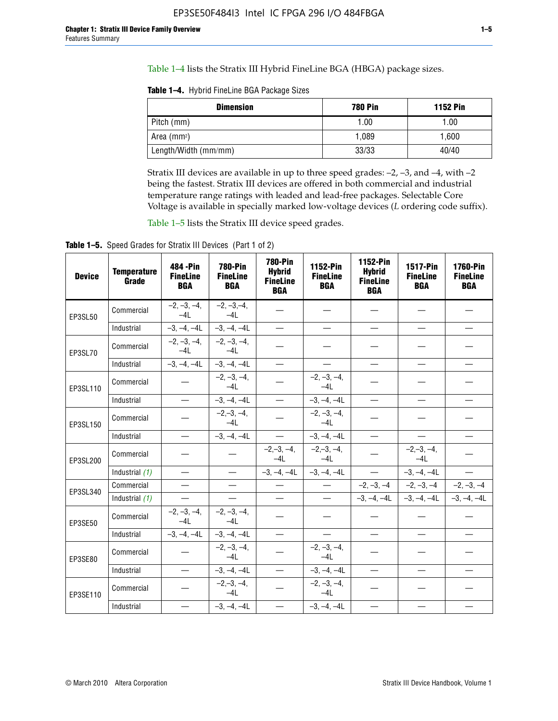Table 1–4 lists the Stratix III Hybrid FineLine BGA (HBGA) package sizes.

**Table 1–4.** Hybrid FineLine BGA Package Sizes

| <b>Dimension</b>        | <b>780 Pin</b> | <b>1152 Pin</b> |
|-------------------------|----------------|-----------------|
| Pitch (mm)              | 1.00           | 1.00            |
| Area (mm <sup>2</sup> ) | 1.089          | 1.600           |
| Length/Width (mm/mm)    | 33/33          | 40/40           |

Stratix III devices are available in up to three speed grades: –2, –3, and –4, with –2 being the fastest. Stratix III devices are offered in both commercial and industrial temperature range ratings with leaded and lead-free packages. Selectable Core Voltage is available in specially marked low-voltage devices (*L* ordering code suffix).

Table 1–5 lists the Stratix III device speed grades.

Table 1-5. Speed Grades for Stratix III Devices (Part 1 of 2)

| <b>Device</b> | <b>Temperature</b><br>Grade | 484 - Pin<br><b>FineLine</b><br><b>BGA</b> | <b>780-Pin</b><br><b>FineLine</b><br><b>BGA</b> | <b>780-Pin</b><br><b>Hybrid</b><br><b>FineLine</b><br><b>BGA</b> | 1152-Pin<br><b>FineLine</b><br><b>BGA</b> | 1152-Pin<br><b>Hybrid</b><br><b>FineLine</b><br><b>BGA</b> | 1517-Pin<br><b>FineLine</b><br><b>BGA</b> | <b>1760-Pin</b><br><b>FineLine</b><br><b>BGA</b> |
|---------------|-----------------------------|--------------------------------------------|-------------------------------------------------|------------------------------------------------------------------|-------------------------------------------|------------------------------------------------------------|-------------------------------------------|--------------------------------------------------|
| EP3SL50       | Commercial                  | $-2, -3, -4,$<br>$-4L$                     | $-2, -3, -4,$<br>$-4L$                          |                                                                  |                                           |                                                            |                                           |                                                  |
|               | Industrial                  | $-3, -4, -4L$                              | $-3, -4, -4L$                                   | $\equiv$                                                         | $\equiv$                                  | $\equiv$                                                   | $\equiv$                                  | $\equiv$                                         |
| EP3SL70       | Commercial                  | $-2, -3, -4,$<br>$-41$                     | $-2, -3, -4,$<br>$-41$                          |                                                                  |                                           |                                                            |                                           |                                                  |
|               | Industrial                  | $-3, -4, -4L$                              | $-3, -4, -4L$                                   | $\equiv$                                                         | $\overline{\phantom{0}}$                  | $\overline{\phantom{0}}$                                   | $\overline{\phantom{0}}$                  | $\overline{\phantom{0}}$                         |
| EP3SL110      | Commercial                  |                                            | $-2, -3, -4,$<br>$-4L$                          |                                                                  | $-2, -3, -4,$<br>$-4L$                    |                                                            |                                           |                                                  |
|               | Industrial                  | $\equiv$                                   | $-3, -4, -4L$                                   | $\frac{1}{1}$                                                    | $-3, -4, -4L$                             | $\frac{1}{2}$                                              | $\equiv$                                  | $\overline{\phantom{0}}$                         |
| EP3SL150      | Commercial                  |                                            | $-2, -3, -4,$<br>$-41$                          |                                                                  | $-2, -3, -4,$<br>$-41$                    |                                                            |                                           |                                                  |
|               | Industrial                  |                                            | $-3, -4, -4L$                                   | $\equiv$                                                         | $-3, -4, -4L$                             |                                                            | $\qquad \qquad -$                         | $\equiv$                                         |
| EP3SL200      | Commercial                  |                                            |                                                 | $-2, -3, -4,$<br>$-4L$                                           | $-2, -3, -4,$<br>$-4L$                    |                                                            | $-2,-3,-4,$<br>$-4L$                      |                                                  |
|               | Industrial (1)              | $\equiv$                                   | $\equiv$                                        | $-3, -4, -4L$                                                    | $-3, -4, -4L$                             | $\frac{1}{2}$                                              | $-3, -4, -4L$                             | $\overline{\phantom{0}}$                         |
| EP3SL340      | Commercial                  | $\equiv$                                   | $\qquad \qquad$                                 | $\overbrace{\phantom{12322111}}$                                 | $\overline{\phantom{m}}$                  |                                                            | $-2, -3, -4$ $-2, -3, -4$                 | $-2, -3, -4$                                     |
|               | Industrial (1)              | $\overline{\phantom{m}}$                   | $\equiv$                                        | $\equiv$                                                         | $-$                                       |                                                            | $-3, -4, -4$ $-4$ $-3, -4, -4$            | $-3, -4, -4L$                                    |
| EP3SE50       | Commercial                  | $-2, -3, -4,$<br>$-4L$                     | $-2, -3, -4,$<br>$-4L$                          |                                                                  |                                           |                                                            |                                           |                                                  |
|               | Industrial                  | $-3, -4, -4L$                              | $-3, -4, -4L$                                   | $\equiv$                                                         | $\overline{\phantom{0}}$                  |                                                            |                                           | $\overline{\phantom{0}}$                         |
| EP3SE80       | Commercial                  |                                            | $-2, -3, -4,$<br>$-41$                          |                                                                  | $-2, -3, -4,$<br>$-41$                    |                                                            |                                           |                                                  |
|               | Industrial                  | $\overline{\phantom{m}}$                   | $-3, -4, -4L$                                   | $\overbrace{\phantom{1232211}}$                                  | $-3, -4, -4L$                             |                                                            | $\equiv$                                  |                                                  |
| EP3SE110      | Commercial                  |                                            | $-2, -3, -4,$<br>$-4L$                          |                                                                  | $-2, -3, -4,$<br>$-41$                    |                                                            |                                           |                                                  |
|               | Industrial                  |                                            | $-3, -4, -4L$                                   | $\overline{\phantom{0}}$                                         | $-3, -4, -4L$                             |                                                            |                                           |                                                  |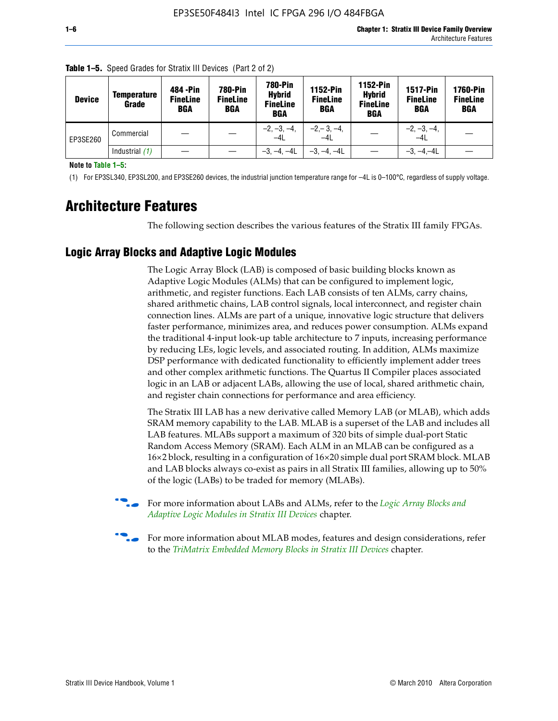| <b>Device</b> | Temperature<br>Grade | 484 - Pin<br><b>FineLine</b><br><b>BGA</b> | <b>780-Pin</b><br><b>FineLine</b><br><b>BGA</b> | <b>780-Pin</b><br><b>Hybrid</b><br><b>FineLine</b><br><b>BGA</b> | 1152-Pin<br><b>FineLine</b><br><b>BGA</b> | <b>1152-Pin</b><br><b>Hybrid</b><br><b>FineLine</b><br><b>BGA</b> | <b>1517-Pin</b><br><b>FineLine</b><br><b>BGA</b> | <b>1760-Pin</b><br><b>FineLine</b><br><b>BGA</b> |
|---------------|----------------------|--------------------------------------------|-------------------------------------------------|------------------------------------------------------------------|-------------------------------------------|-------------------------------------------------------------------|--------------------------------------------------|--------------------------------------------------|
| EP3SE260      | Commercial           |                                            |                                                 | $-2, -3, -4,$<br>$-4L$                                           | $-2, -3, -4,$<br>$-4L$                    |                                                                   | $-2, -3, -4,$<br>$-4L$                           |                                                  |
|               | Industrial $(1)$     |                                            |                                                 | $-3, -4, -4L$                                                    | $-3, -4, -4L$                             |                                                                   | $-3, -4, -4L$                                    |                                                  |

**Table 1–5.** Speed Grades for Stratix III Devices (Part 2 of 2)

**Note to Table 1–5:**

(1) For EP3SL340, EP3SL200, and EP3SE260 devices, the industrial junction temperature range for –4L is 0–100°C, regardless of supply voltage.

# **Architecture Features**

The following section describes the various features of the Stratix III family FPGAs.

## **Logic Array Blocks and Adaptive Logic Modules**

The Logic Array Block (LAB) is composed of basic building blocks known as Adaptive Logic Modules (ALMs) that can be configured to implement logic, arithmetic, and register functions. Each LAB consists of ten ALMs, carry chains, shared arithmetic chains, LAB control signals, local interconnect, and register chain connection lines. ALMs are part of a unique, innovative logic structure that delivers faster performance, minimizes area, and reduces power consumption. ALMs expand the traditional 4-input look-up table architecture to 7 inputs, increasing performance by reducing LEs, logic levels, and associated routing. In addition, ALMs maximize DSP performance with dedicated functionality to efficiently implement adder trees and other complex arithmetic functions. The Quartus II Compiler places associated logic in an LAB or adjacent LABs, allowing the use of local, shared arithmetic chain, and register chain connections for performance and area efficiency.

The Stratix III LAB has a new derivative called Memory LAB (or MLAB), which adds SRAM memory capability to the LAB. MLAB is a superset of the LAB and includes all LAB features. MLABs support a maximum of 320 bits of simple dual-port Static Random Access Memory (SRAM). Each ALM in an MLAB can be configured as a 16×2 block, resulting in a configuration of 16×20 simple dual port SRAM block. MLAB and LAB blocks always co-exist as pairs in all Stratix III families, allowing up to 50% of the logic (LABs) to be traded for memory (MLABs).



f For more information about LABs and ALMs, refer to the *[Logic Array Blocks and](http://www.altera.com/literature/hb/stx3/stx3_siii51002.pdf)  [Adaptive Logic Modules in Stratix III Devices](http://www.altera.com/literature/hb/stx3/stx3_siii51002.pdf)* chapter.



For more information about MLAB modes, features and design considerations, refer to the *[TriMatrix Embedded Memory Blocks in Stratix III Devices](http://www.altera.com/literature/hb/stx3/stx3_siii51004.pdf)* chapter.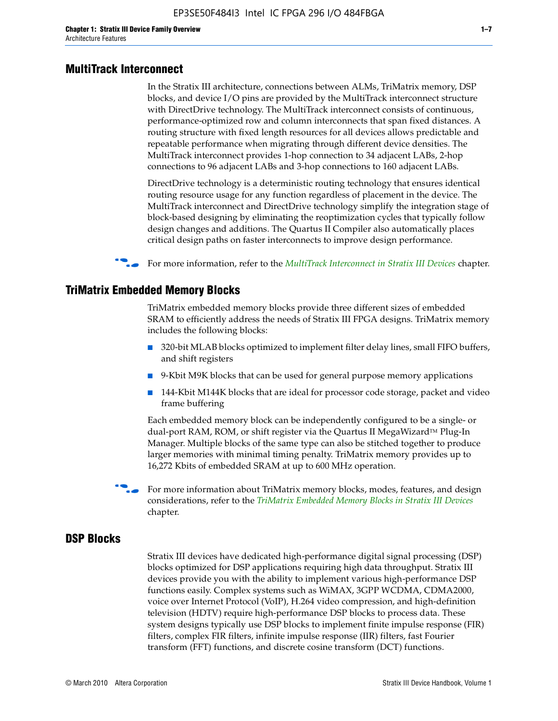#### **MultiTrack Interconnect**

In the Stratix III architecture, connections between ALMs, TriMatrix memory, DSP blocks, and device I/O pins are provided by the MultiTrack interconnect structure with DirectDrive technology. The MultiTrack interconnect consists of continuous, performance-optimized row and column interconnects that span fixed distances. A routing structure with fixed length resources for all devices allows predictable and repeatable performance when migrating through different device densities. The MultiTrack interconnect provides 1-hop connection to 34 adjacent LABs, 2-hop connections to 96 adjacent LABs and 3-hop connections to 160 adjacent LABs.

DirectDrive technology is a deterministic routing technology that ensures identical routing resource usage for any function regardless of placement in the device. The MultiTrack interconnect and DirectDrive technology simplify the integration stage of block-based designing by eliminating the reoptimization cycles that typically follow design changes and additions. The Quartus II Compiler also automatically places critical design paths on faster interconnects to improve design performance.

#### f For more information, refer to the *[MultiTrack Interconnect in Stratix III Devices](http://www.altera.com/literature/hb/stx3/stx3_siii51003.pdf)* chapter.

#### **TriMatrix Embedded Memory Blocks**

TriMatrix embedded memory blocks provide three different sizes of embedded SRAM to efficiently address the needs of Stratix III FPGA designs. TriMatrix memory includes the following blocks:

- 320-bit MLAB blocks optimized to implement filter delay lines, small FIFO buffers, and shift registers
- 9-Kbit M9K blocks that can be used for general purpose memory applications
- 144-Kbit M144K blocks that are ideal for processor code storage, packet and video frame buffering

Each embedded memory block can be independently configured to be a single- or dual-port RAM, ROM, or shift register via the Quartus II MegaWizard™ Plug-In Manager. Multiple blocks of the same type can also be stitched together to produce larger memories with minimal timing penalty. TriMatrix memory provides up to 16,272 Kbits of embedded SRAM at up to 600 MHz operation.

For more information about TriMatrix memory blocks, modes, features, and design considerations, refer to the *[TriMatrix Embedded Memory Blocks in Stratix III Devices](http://www.altera.com/literature/hb/stx3/stx3_siii51004.pdf)* chapter.

#### **DSP Blocks**

Stratix III devices have dedicated high-performance digital signal processing (DSP) blocks optimized for DSP applications requiring high data throughput. Stratix III devices provide you with the ability to implement various high-performance DSP functions easily. Complex systems such as WiMAX, 3GPP WCDMA, CDMA2000, voice over Internet Protocol (VoIP), H.264 video compression, and high-definition television (HDTV) require high-performance DSP blocks to process data. These system designs typically use DSP blocks to implement finite impulse response (FIR) filters, complex FIR filters, infinite impulse response (IIR) filters, fast Fourier transform (FFT) functions, and discrete cosine transform (DCT) functions.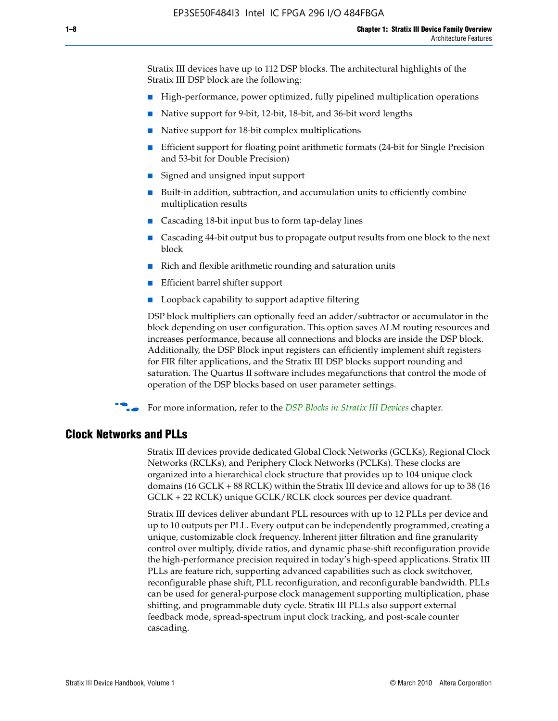Stratix III devices have up to 112 DSP blocks. The architectural highlights of the Stratix III DSP block are the following:

- High-performance, power optimized, fully pipelined multiplication operations
- Native support for 9-bit, 12-bit, 18-bit, and 36-bit word lengths
- Native support for 18-bit complex multiplications
- Efficient support for floating point arithmetic formats (24-bit for Single Precision and 53-bit for Double Precision)
- Signed and unsigned input support
- Built-in addition, subtraction, and accumulation units to efficiently combine multiplication results
- Cascading 18-bit input bus to form tap-delay lines
- Cascading 44-bit output bus to propagate output results from one block to the next block
- Rich and flexible arithmetic rounding and saturation units
- Efficient barrel shifter support
- Loopback capability to support adaptive filtering

DSP block multipliers can optionally feed an adder/subtractor or accumulator in the block depending on user configuration. This option saves ALM routing resources and increases performance, because all connections and blocks are inside the DSP block. Additionally, the DSP Block input registers can efficiently implement shift registers for FIR filter applications, and the Stratix III DSP blocks support rounding and saturation. The Quartus II software includes megafunctions that control the mode of operation of the DSP blocks based on user parameter settings.

f For more information, refer to the *[DSP Blocks in Stratix III Devices](http://www.altera.com/literature/hb/stx3/stx3_siii51005.pdf)* chapter.

#### **Clock Networks and PLLs**

Stratix III devices provide dedicated Global Clock Networks (GCLKs), Regional Clock Networks (RCLKs), and Periphery Clock Networks (PCLKs). These clocks are organized into a hierarchical clock structure that provides up to 104 unique clock domains (16 GCLK + 88 RCLK) within the Stratix III device and allows for up to 38 (16 GCLK + 22 RCLK) unique GCLK/RCLK clock sources per device quadrant.

Stratix III devices deliver abundant PLL resources with up to 12 PLLs per device and up to 10 outputs per PLL. Every output can be independently programmed, creating a unique, customizable clock frequency. Inherent jitter filtration and fine granularity control over multiply, divide ratios, and dynamic phase-shift reconfiguration provide the high-performance precision required in today's high-speed applications. Stratix III PLLs are feature rich, supporting advanced capabilities such as clock switchover, reconfigurable phase shift, PLL reconfiguration, and reconfigurable bandwidth. PLLs can be used for general-purpose clock management supporting multiplication, phase shifting, and programmable duty cycle. Stratix III PLLs also support external feedback mode, spread-spectrum input clock tracking, and post-scale counter cascading.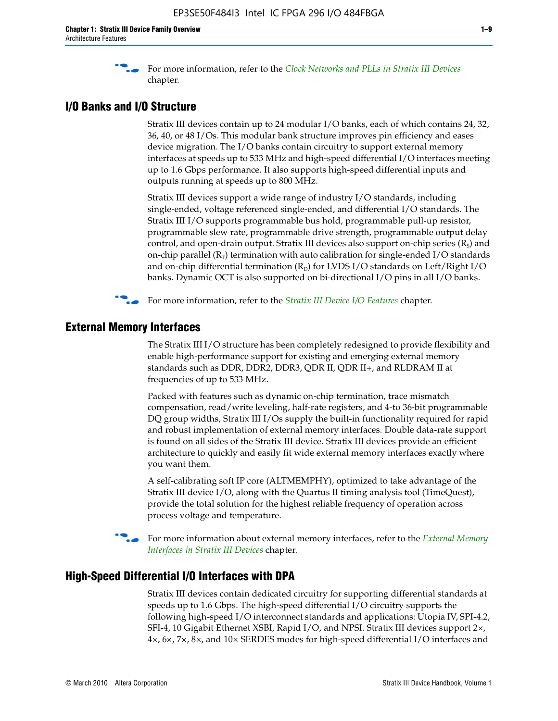f For more information, refer to the *[Clock Networks and PLLs in Stratix III Devices](http://www.altera.com/literature/hb/stx3/stx3_siii51006.pdf)* chapter.

## **I/O Banks and I/O Structure**

Stratix III devices contain up to 24 modular I/O banks, each of which contains 24, 32, 36, 40, or 48 I/Os. This modular bank structure improves pin efficiency and eases device migration. The I/O banks contain circuitry to support external memory interfaces at speeds up to 533 MHz and high-speed differential I/O interfaces meeting up to 1.6 Gbps performance. It also supports high-speed differential inputs and outputs running at speeds up to 800 MHz.

Stratix III devices support a wide range of industry I/O standards, including single-ended, voltage referenced single-ended, and differential I/O standards. The Stratix III I/O supports programmable bus hold, programmable pull-up resistor, programmable slew rate, programmable drive strength, programmable output delay control, and open-drain output. Stratix III devices also support on-chip series  $(R<sub>s</sub>)$  and on-chip parallel  $(R_T)$  termination with auto calibration for single-ended I/O standards and on-chip differential termination  $(R_D)$  for LVDS I/O standards on Left/Right I/O banks. Dynamic OCT is also supported on bi-directional I/O pins in all I/O banks.

**For more information, refer to the** *[Stratix III Device I/O Features](http://www.altera.com/literature/hb/stx3/stx3_siii51007.pdf)* **chapter.** 

## **External Memory Interfaces**

The Stratix III I/O structure has been completely redesigned to provide flexibility and enable high-performance support for existing and emerging external memory standards such as DDR, DDR2, DDR3, QDR II, QDR II+, and RLDRAM II at frequencies of up to 533 MHz.

Packed with features such as dynamic on-chip termination, trace mismatch compensation, read/write leveling, half-rate registers, and 4-to 36-bit programmable DQ group widths, Stratix III I/Os supply the built-in functionality required for rapid and robust implementation of external memory interfaces. Double data-rate support is found on all sides of the Stratix III device. Stratix III devices provide an efficient architecture to quickly and easily fit wide external memory interfaces exactly where you want them.

A self-calibrating soft IP core (ALTMEMPHY), optimized to take advantage of the Stratix III device I/O, along with the Quartus II timing analysis tool (TimeQuest), provide the total solution for the highest reliable frequency of operation across process voltage and temperature.

f For more information about external memory interfaces, refer to the *[External Memory](http://www.altera.com/literature/hb/stx3/stx3_siii51008.pdf)  [Interfaces in Stratix III Devices](http://www.altera.com/literature/hb/stx3/stx3_siii51008.pdf)* chapter.

#### **High-Speed Differential I/O Interfaces with DPA**

Stratix III devices contain dedicated circuitry for supporting differential standards at speeds up to 1.6 Gbps. The high-speed differential I/O circuitry supports the following high-speed I/O interconnect standards and applications: Utopia IV, SPI-4.2, SFI-4, 10 Gigabit Ethernet XSBI, Rapid I/O, and NPSI. Stratix III devices support 2×, 4×, 6×, 7×, 8×, and 10× SERDES modes for high-speed differential I/O interfaces and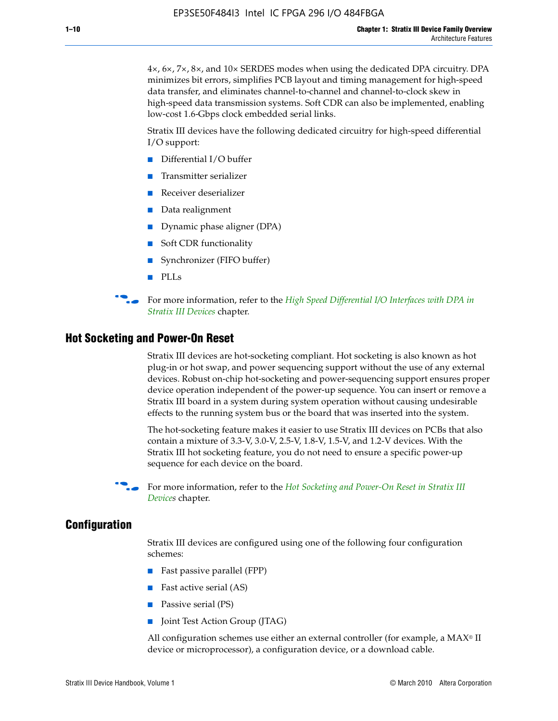4×, 6×, 7×, 8×, and 10× SERDES modes when using the dedicated DPA circuitry. DPA minimizes bit errors, simplifies PCB layout and timing management for high-speed data transfer, and eliminates channel-to-channel and channel-to-clock skew in high-speed data transmission systems. Soft CDR can also be implemented, enabling low-cost 1.6-Gbps clock embedded serial links.

Stratix III devices have the following dedicated circuitry for high-speed differential I/O support:

- Differential I/O buffer
- Transmitter serializer
- Receiver deserializer
- Data realignment
- Dynamic phase aligner (DPA)
- Soft CDR functionality
- Synchronizer (FIFO buffer)
- PLLs

**for more information, refer to the** *High Speed Differential I/O Interfaces with DPA in [Stratix III Devices](http://www.altera.com/literature/hb/stx3/stx3_siii51009.pdf)* chapter.

#### **Hot Socketing and Power-On Reset**

Stratix III devices are hot-socketing compliant. Hot socketing is also known as hot plug-in or hot swap, and power sequencing support without the use of any external devices. Robust on-chip hot-socketing and power-sequencing support ensures proper device operation independent of the power-up sequence. You can insert or remove a Stratix III board in a system during system operation without causing undesirable effects to the running system bus or the board that was inserted into the system.

The hot-socketing feature makes it easier to use Stratix III devices on PCBs that also contain a mixture of 3.3-V, 3.0-V, 2.5-V, 1.8-V, 1.5-V, and 1.2-V devices. With the Stratix III hot socketing feature, you do not need to ensure a specific power-up sequence for each device on the board.

For more information, refer to the *Hot Socketing and Power-On Reset in Stratix III [Device](http://www.altera.com/literature/hb/stx3/stx3_siii51010.pdf)s* chapter.

#### **Configuration**

Stratix III devices are configured using one of the following four configuration schemes:

- Fast passive parallel (FPP)
- Fast active serial (AS)
- Passive serial (PS)
- Joint Test Action Group (JTAG)

All configuration schemes use either an external controller (for example, a  $MAX<sup>®</sup>$  II device or microprocessor), a configuration device, or a download cable.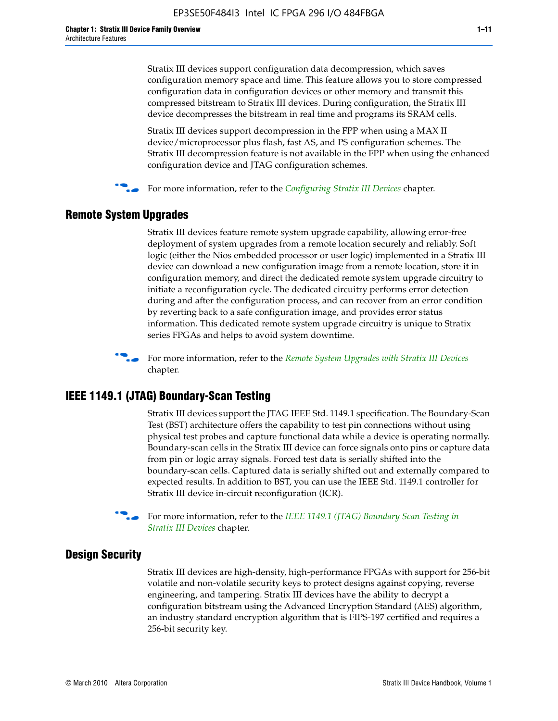Stratix III devices support configuration data decompression, which saves configuration memory space and time. This feature allows you to store compressed configuration data in configuration devices or other memory and transmit this compressed bitstream to Stratix III devices. During configuration, the Stratix III device decompresses the bitstream in real time and programs its SRAM cells.

Stratix III devices support decompression in the FPP when using a MAX II device/microprocessor plus flash, fast AS, and PS configuration schemes. The Stratix III decompression feature is not available in the FPP when using the enhanced configuration device and JTAG configuration schemes.

For more information, refer to the *[Configuring Stratix III Devices](http://www.altera.com/literature/hb/stx3/stx3_siii51011.pdf)* chapter.

## **Remote System Upgrades**

Stratix III devices feature remote system upgrade capability, allowing error-free deployment of system upgrades from a remote location securely and reliably. Soft logic (either the Nios embedded processor or user logic) implemented in a Stratix III device can download a new configuration image from a remote location, store it in configuration memory, and direct the dedicated remote system upgrade circuitry to initiate a reconfiguration cycle. The dedicated circuitry performs error detection during and after the configuration process, and can recover from an error condition by reverting back to a safe configuration image, and provides error status information. This dedicated remote system upgrade circuitry is unique to Stratix series FPGAs and helps to avoid system downtime.



**For more information, refer to the** *[Remote System Upgrades with Stratix III Devices](http://www.altera.com/literature/hb/stx3/stx3_siii51012.pdf)* chapter.

## **IEEE 1149.1 (JTAG) Boundary-Scan Testing**

Stratix III devices support the JTAG IEEE Std. 1149.1 specification. The Boundary-Scan Test (BST) architecture offers the capability to test pin connections without using physical test probes and capture functional data while a device is operating normally. Boundary-scan cells in the Stratix III device can force signals onto pins or capture data from pin or logic array signals. Forced test data is serially shifted into the boundary-scan cells. Captured data is serially shifted out and externally compared to expected results. In addition to BST, you can use the IEEE Std. 1149.1 controller for Stratix III device in-circuit reconfiguration (ICR).

For more information, refer to the *IEEE 1149.1 (JTAG) Boundary Scan Testing in [Stratix III Devices](http://www.altera.com/literature/hb/stx3/stx3_siii51013.pdf)* chapter.

## **Design Security**

Stratix III devices are high-density, high-performance FPGAs with support for 256-bit volatile and non-volatile security keys to protect designs against copying, reverse engineering, and tampering. Stratix III devices have the ability to decrypt a configuration bitstream using the Advanced Encryption Standard (AES) algorithm, an industry standard encryption algorithm that is FIPS-197 certified and requires a 256-bit security key.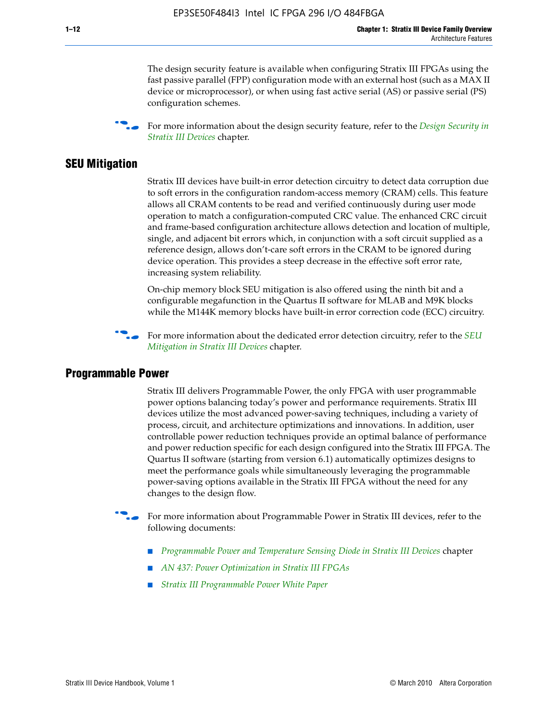The design security feature is available when configuring Stratix III FPGAs using the fast passive parallel (FPP) configuration mode with an external host (such as a MAX II device or microprocessor), or when using fast active serial (AS) or passive serial (PS) configuration schemes.

f For more information about the design security feature, refer to the *[Design Security in](http://www.altera.com/literature/hb/stx3/stx3_siii51014.pdf)  [Stratix III Devices](http://www.altera.com/literature/hb/stx3/stx3_siii51014.pdf)* chapter.

### **SEU Mitigation**

Stratix III devices have built-in error detection circuitry to detect data corruption due to soft errors in the configuration random-access memory (CRAM) cells. This feature allows all CRAM contents to be read and verified continuously during user mode operation to match a configuration-computed CRC value. The enhanced CRC circuit and frame-based configuration architecture allows detection and location of multiple, single, and adjacent bit errors which, in conjunction with a soft circuit supplied as a reference design, allows don't-care soft errors in the CRAM to be ignored during device operation. This provides a steep decrease in the effective soft error rate, increasing system reliability.

On-chip memory block SEU mitigation is also offered using the ninth bit and a configurable megafunction in the Quartus II software for MLAB and M9K blocks while the M144K memory blocks have built-in error correction code (ECC) circuitry.

For more information about the dedicated error detection circuitry, refer to the *SEU [Mitigation in Stratix III Devices](http://www.altera.com/literature/hb/stx3/stx3_siii51015.pdf)* chapter.

#### **Programmable Power**

Stratix III delivers Programmable Power, the only FPGA with user programmable power options balancing today's power and performance requirements. Stratix III devices utilize the most advanced power-saving techniques, including a variety of process, circuit, and architecture optimizations and innovations. In addition, user controllable power reduction techniques provide an optimal balance of performance and power reduction specific for each design configured into the Stratix III FPGA. The Quartus II software (starting from version 6.1) automatically optimizes designs to meet the performance goals while simultaneously leveraging the programmable power-saving options available in the Stratix III FPGA without the need for any changes to the design flow.

For more information about Programmable Power in Stratix III devices, refer to the following documents:

- *[Programmable Power and Temperature Sensing Diode in Stratix III Devices](http://www.altera.com/literature/hb/stx3/stx3_siii51016.pdf)* chapter
- *[AN 437: Power Optimization in Stratix III FPGAs](http://www.altera.com/literature/an/AN437.pdf)*
- *[Stratix III Programmable Power White Paper](http://www.altera.com/literature/wp/wp-01006.pdf)*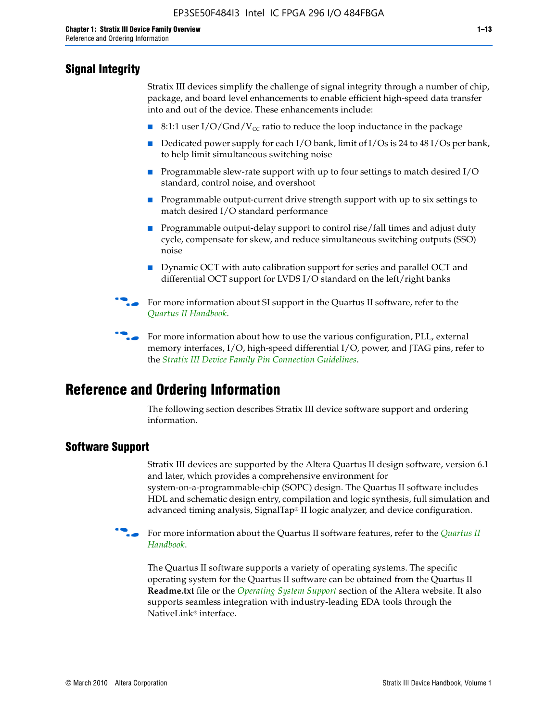## **Signal Integrity**

Stratix III devices simplify the challenge of signal integrity through a number of chip, package, and board level enhancements to enable efficient high-speed data transfer into and out of the device. These enhancements include:

- 8:1:1 user I/O/Gnd/V<sub>cc</sub> ratio to reduce the loop inductance in the package
- Dedicated power supply for each I/O bank, limit of I/Os is 24 to 48 I/Os per bank, to help limit simultaneous switching noise
- Programmable slew-rate support with up to four settings to match desired I/O standard, control noise, and overshoot
- Programmable output-current drive strength support with up to six settings to match desired I/O standard performance
- Programmable output-delay support to control rise/fall times and adjust duty cycle, compensate for skew, and reduce simultaneous switching outputs (SSO) noise
- Dynamic OCT with auto calibration support for series and parallel OCT and differential OCT support for LVDS I/O standard on the left/right banks
- For mor[e](http://www.altera.com/literature/hb/qts/quartusii_handbook.pdf) information about SI support in the Quartus II software, refer to the *[Quartus II Handbook](http://www.altera.com/literature/hb/qts/quartusii_handbook.pdf)*.

For more information about how to use the various configuration, PLL, external memory interfaces, I/O, high-speed differential I/O, power, and JTAG pins, refer to the *[Stratix III Device Family Pin Connection Guidelines](http://www.altera.com/literature/dp/stx3/PCG-01004.pdf)*.

# **Reference and Ordering Information**

The following section describes Stratix III device software support and ordering information.

## **Software Support**

Stratix III devices are supported by the Altera Quartus II design software, version 6.1 and later, which provides a comprehensive environment for system-on-a-programmable-chip (SOPC) design. The Quartus II software includes HDL and schematic design entry, compilation and logic synthesis, full simulation and advanced timing analysis, SignalTap® II logic analyzer, and device configuration.

**for more information about the [Quartus II](http://www.altera.com/literature/hb/qts/quartusii_handbook.pdf) software features, refer to the** *Quartus II* **<b>For all 2** *[Handbook](http://www.altera.com/literature/hb/qts/quartusii_handbook.pdf)*.

The Quartus II software supports a variety of operating systems. The specific operating system for the Quartus II software can be obtained from the Quartus II **Readme.txt** file or the *[Operating System Support](http://www.altera.com/support/software/os_support/oss-index.html)* section of the Altera website. It also supports seamless integration with industry-leading EDA tools through the NativeLink® interface.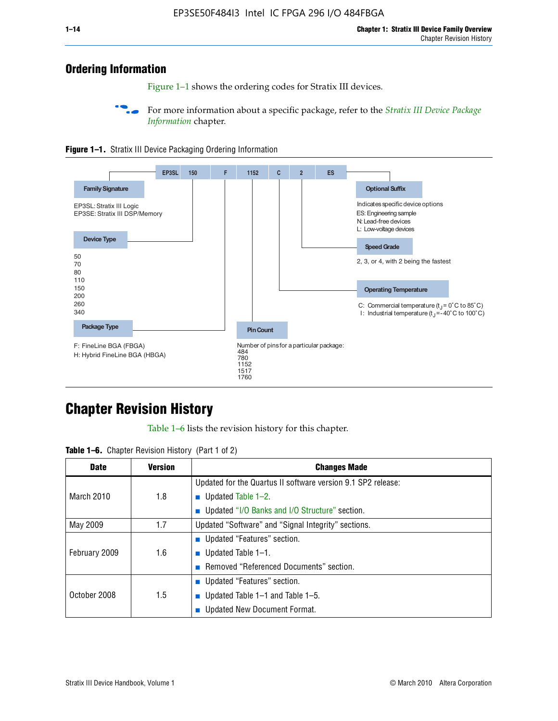## **Ordering Information**

Figure 1–1 shows the ordering codes for Stratix III devices.

For more information about a specific package, refer to the *Stratix III Device Package [Information](http://www.altera.com/literature/hb/stx3/stx3_siii51017.pdf)* chapter.





# **[C](http://www.altera.com/literature/hb/stx3/stx3_siii51012.pdf)hapter Revision History**

Table 1–6 lists the revision history for this chapter.

| <b>Table 1–6.</b> Chapter Revision History (Part 1 of 2) |  |  |  |  |  |
|----------------------------------------------------------|--|--|--|--|--|
|----------------------------------------------------------|--|--|--|--|--|

| <b>Date</b>       | <b>Version</b> | <b>Changes Made</b>                                          |
|-------------------|----------------|--------------------------------------------------------------|
|                   |                | Updated for the Quartus II software version 9.1 SP2 release: |
| <b>March 2010</b> | 1.8            | <b>u</b> Updated Table $1-2$ .                               |
|                   |                | ■ Updated "I/O Banks and I/O Structure" section.             |
| May 2009          | 1.7            | Updated "Software" and "Signal Integrity" sections.          |
|                   |                | Updated "Features" section.                                  |
| February 2009     | 1.6            | <b>u</b> Updated Table $1-1$ .                               |
|                   |                | Removed "Referenced Documents" section.                      |
|                   |                | ■ Updated "Features" section.                                |
| October 2008      | 1.5            | ■ Updated Table 1–1 and Table 1–5.                           |
|                   |                | <b>Updated New Document Format.</b>                          |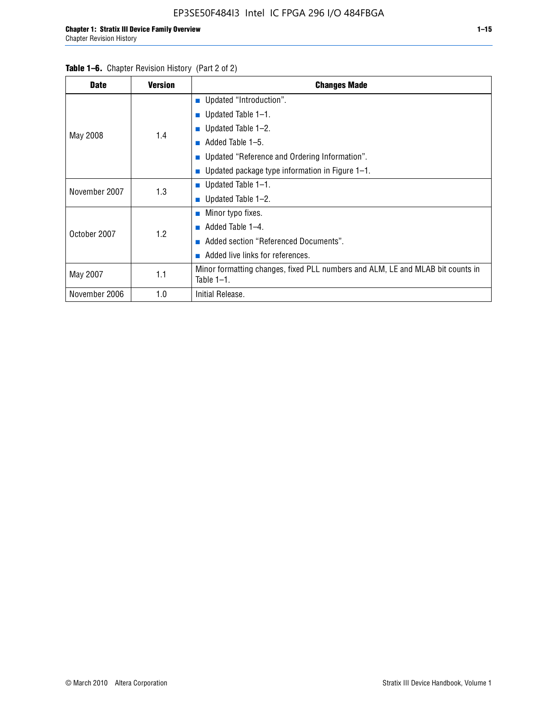| <b>Date</b>   | <b>Version</b> | <b>Changes Made</b>                                                                             |  |  |  |
|---------------|----------------|-------------------------------------------------------------------------------------------------|--|--|--|
|               |                | <b>Updated "Introduction".</b>                                                                  |  |  |  |
|               |                | $\blacksquare$ Updated Table 1-1.                                                               |  |  |  |
|               | 1.4            | ■ Updated Table $1-2$ .                                                                         |  |  |  |
| May 2008      |                | Added Table 1-5.<br><b>COL</b>                                                                  |  |  |  |
|               |                | ■ Updated "Reference and Ordering Information".                                                 |  |  |  |
|               |                | Updated package type information in Figure 1-1.                                                 |  |  |  |
| November 2007 | 1.3            | ■ Updated Table $1-1$ .                                                                         |  |  |  |
|               |                | ■ Updated Table $1-2$ .                                                                         |  |  |  |
|               |                | $\blacksquare$ Minor typo fixes.                                                                |  |  |  |
| October 2007  | 1.2            | Added Table 1-4.                                                                                |  |  |  |
|               |                | Added section "Referenced Documents".                                                           |  |  |  |
|               |                | Added live links for references.                                                                |  |  |  |
| May 2007      | 1.1            | Minor formatting changes, fixed PLL numbers and ALM, LE and MLAB bit counts in<br>Table $1-1$ . |  |  |  |
| November 2006 | 1.0            | Initial Release.                                                                                |  |  |  |